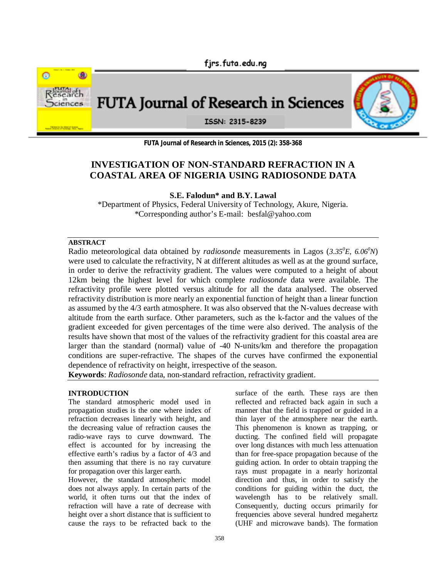fjrs.futa.edu.ng



**FUTA Journal of Research in Sciences, 2015 (2): 358-368**

# **INVESTIGATION OF NON-STANDARD REFRACTION IN A COASTAL AREA OF NIGERIA USING RADIOSONDE DATA**

**S.E. Falodun\* and B.Y. Lawal**

\*Department of Physics, Federal University of Technology, Akure, Nigeria. \*Corresponding author's E-mail: besfal@yahoo.com

# **ABSTRACT**

Radio meteorological data obtained by *radiosonde* measurements in Lagos (*3.35<sup>0</sup>E, 6.06<sup>0</sup>N*) were used to calculate the refractivity, N at different altitudes as well as at the ground surface, in order to derive the refractivity gradient. The values were computed to a height of about 12km being the highest level for which complete *radiosonde* data were available. The refractivity profile were plotted versus altitude for all the data analysed. The observed refractivity distribution is more nearly an exponential function of height than a linear function as assumed by the 4/3 earth atmosphere. It was also observed that the N-values decrease with altitude from the earth surface. Other parameters, such as the k-factor and the values of the gradient exceeded for given percentages of the time were also derived. The analysis of the results have shown that most of the values of the refractivity gradient for this coastal area are larger than the standard (normal) value of -40 N-units/km and therefore the propagation conditions are super-refractive. The shapes of the curves have confirmed the exponential dependence of refractivity on height, irrespective of the season.

**Keywords**: *Radiosonde* data, non-standard refraction, refractivity gradient.

### **INTRODUCTION**

The standard atmospheric model used in propagation studies is the one where index of refraction decreases linearly with height, and the decreasing value of refraction causes the radio-wave rays to curve downward. The effect is accounted for by increasing the effective earth's radius by a factor of 4/3 and then assuming that there is no ray curvature for propagation over this larger earth.

However, the standard atmospheric model does not always apply. In certain parts of the world, it often turns out that the index of refraction will have a rate of decrease with height over a short distance that is sufficient to cause the rays to be refracted back to the

surface of the earth. These rays are then reflected and refracted back again in such a manner that the field is trapped or guided in a thin layer of the atmosphere near the earth. This phenomenon is known as trapping, or ducting. The confined field will propagate over long distances with much less attenuation than for free-space propagation because of the guiding action. In order to obtain trapping the rays must propagate in a nearly horizontal direction and thus, in order to satisfy the conditions for guiding within the duct, the wavelength has to be relatively small. Consequently, ducting occurs primarily for frequencies above several hundred megahertz (UHF and microwave bands). The formation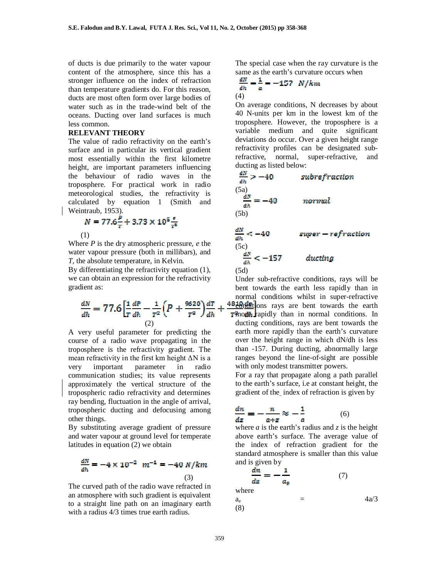of ducts is due primarily to the water vapour content of the atmosphere, since this has a stronger influence on the index of refraction than temperature gradients do. For this reason, ducts are most often form over large bodies of water such as in the trade-wind belt of the oceans. Ducting over land surfaces is much less common.

#### **RELEVANT THEORY**

The value of radio refractivity on the earth's surface and in particular its vertical gradient most essentially within the first kilometre height, are important parameters influencing the behaviour of radio waves in the troposphere. For practical work in radio meteorological studies, the refractivity is calculated by equation 1 (Smith and Weintraub, 1953).

$$
N = 77.6 \frac{P}{r} + 3.73 \times 10^5 \frac{e}{r^2}
$$

(1)

Where *P* is the dry atmospheric pressure, *e* the water vapour pressure (both in millibars), and *T*, the absolute temperature, in Kelvin.

By differentiating the refractivity equation (1), we can obtain an expression for the refractivity gradient as:

$$
\frac{dN}{dh} = 77.6 \left[ \frac{1}{T} \frac{dP}{dh} - \frac{1}{T^2} \left( P + \frac{9620}{T^2} \right) \frac{dT}{dh} + \right]
$$

A very useful parameter for predicting the course of a radio wave propagating in the troposphere is the refractivity gradient. The mean refractivity in the first km height  $\Delta N$  is a very important parameter in radio communication studies; its value represents approximately the vertical structure of the tropospheric radio refractivity and determines ray bending, fluctuation in the angle of arrival, tropospheric ducting and defocusing among other things.

By substituting average gradient of pressure and water vapour at ground level for temperate latitudes in equation (2) we obtain

$$
\frac{dN}{dk} = -4 \times 10^{-2} \quad m^{-1} = -40 \, N/km
$$
\n(3)

The curved path of the radio wave refracted in an atmosphere with such gradient is equivalent to a straight line path on an imaginary earth with a radius 4/3 times true earth radius.

The special case when the ray curvature is the same as the earth's curvature occurs when

$$
\frac{dN}{dh} = \frac{1}{a} = -157 \quad N/km
$$
\n
$$
\binom{4}{}
$$

On average conditions, N decreases by about 40 N-units per km in the lowest km of the troposphere. However, the troposphere is a variable medium and quite significant deviations do occur. Over a given height range refractivity profiles can be designated subrefractive, normal, super-refractive, and ducting as listed below:

$$
\frac{dN}{dh} > -40
$$
 *subrefraction*  
(5a)  

$$
\frac{dN}{dh} = -40
$$
 *normal*

 $\frac{dN}{dh} < -40$  $super-refraction$  $\frac{dN}{dh} < -157$ ductina

(5d)

(5b)

Under sub-refractive conditions, rays will be bent towards the earth less rapidly than in normal conditions whilst in super-refractive 4820 the carth **Though** rapidly than in normal conditions. In ducting conditions, rays are bent towards the earth more rapidly than the earth's curvature over the height range in which dN/dh is less than -157. During ducting, abnormally large ranges beyond the line-of-sight are possible with only modest transmitter powers.

For a ray that propagate along a path parallel to the earth's surface, i.e at constant height, the gradient of the index of refraction is given by

$$
\frac{dn}{dz} = -\frac{n}{a+z} \approx -\frac{1}{a} \tag{6}
$$

where  $a$  is the earth's radius and  $\zeta$  is the height above earth's surface. The average value of the index of refraction gradient for the standard atmosphere is smaller than this value and is given by

$$
\frac{dn}{dz} = -\frac{1}{a_{\theta}}\tag{7}
$$
 where

 $a_e$  = 4a/3 (8)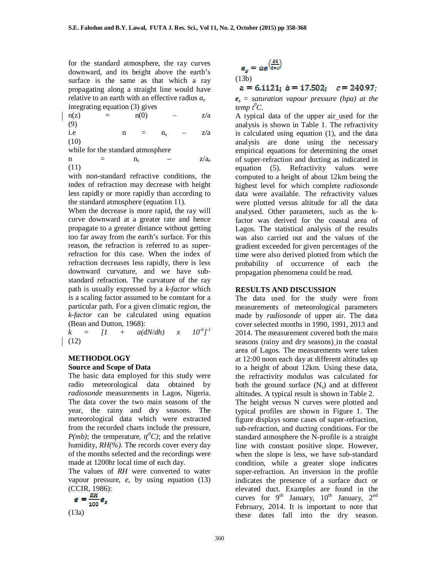for the standard atmosphere, the ray curves downward, and its height above the earth's surface is the same as that which a ray propagating along a straight line would have relative to an earth with an effective radius *a<sup>e</sup>* integrating equation (3) gives

$$
n(z) = n(0) - z/a
$$
\n(9)

i.e  $n = n_s - z/a$ (10)

while for the standard atmosphere

 $n = n_s - z/a_e$ (11)

with non-standard refractive conditions, the index of refraction may decrease with height less rapidly or more rapidly than according to the standard atmosphere (equation 11).

When the decrease is more rapid, the ray will curve downward at a greater rate and hence propagate to a greater distance without getting too far away from the earth's surface. For this reason, the refraction is referred to as superrefraction for this case. When the index of refraction decreases less rapidly, there is less downward curvature, and we have substandard refraction. The curvature of the ray path is usually expressed by a *k-factor* which is a scaling factor assumed to be constant for a particular path. For a given climatic region, the *k-factor* can be calculated using equation (Bean and Dutton, 1968):

 $k = \int_1^1 + a(dN/dh) \times x$  $J^{\text{-}I}$ (12)

# **METHODOLOGY**

### **Source and Scope of Data**

The basic data employed for this study were radio meteorological data obtained by *radiosonde* measurements in Lagos, Nigeria. The data cover the two main seasons of the year, the rainy and dry seasons. The meteorological data which were extracted from the recorded charts include the pressure, *P(mb)*; the temperature,  $t({}^{0}C)$ ; and the relative humidity, *RH(%)*. The records cover every day of the months selected and the recordings were made at 1200hr local time of each day.

The values of *RH* were converted to water vapour pressure, *e*, by using equation (13) (CCIR, 1986):

$$
e = \frac{kH}{100} e_s
$$

$$
(13a)
$$

$$
e_s = ae^{\left(\frac{bt}{b+c}\right)}
$$

(13b)

 $a = 6.1121$ ;  $b = 17.502$ ;  $c = 240.97$ ;

 $e_s$  = *saturation vapour pressure (hpa) at the temp*  $t^0C$ .

A typical data of the upper air used for the analysis is shown in Table 1. The refractivity is calculated using equation (1), and the data analysis are done using the necessary empirical equations for determining the onset of super-refraction and ducting as indicated in equation (5). Refractivity values were computed to a height of about 12km being the highest level for which complete *radiosonde* data were available. The refractivity values were plotted versus altitude for all the data analysed. Other parameters, such as the kfactor was derived for the coastal area of Lagos. The statistical analysis of the results was also carried out and the values of the gradient exceeded for given percentages of the time were also derived plotted from which the probability of occurrence of each the propagation phenomena could be read.

#### **RESULTS AND DISCUSSION**

The data used for the study were from measurements of meteorological parameters made by *radiosonde* of upper air. The data cover selected months in 1990, 1991, 2013 and 2014. The measurement covered both the main seasons (rainy and dry seasons) in the coastal area of Lagos. The measurements were taken at 12:00 noon each day at different altitudes up to a height of about 12km. Using these data, the refractivity modulus was calculated for both the ground surface  $(N_s)$  and at different altitudes. A typical result is shown in Table 2. The height versus N curves were plotted and typical profiles are shown in Figure 1. The figure displays some cases of super-refraction, sub-refraction, and ducting conditions. For the standard atmosphere the N-profile is a straight line with constant positive slope. However, when the slope is less, we have sub-standard condition, while a greater slope indicates super-refraction. An inversion in the profile indicates the presence of a surface duct or elevated duct. Examples are found in the curves for  $9<sup>th</sup>$  January,  $10<sup>th</sup>$  January,  $2<sup>nd</sup>$ February, 2014. It is important to note that these dates fall into the dry season.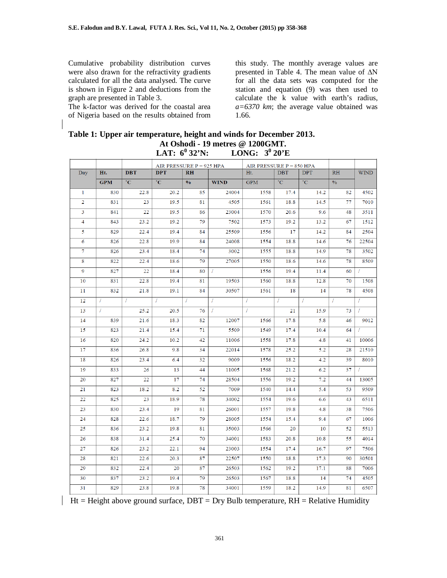Cumulative probability distribution curves were also drawn for the refractivity gradients calculated for all the data analysed. The curve is shown in Figure 2 and deductions from the graph are presented in Table 3.

The k-factor was derived for the coastal area of Nigeria based on the results obtained from this study. The monthly average values are presented in Table 4. The mean value of ∆N for all the data sets was computed for the station and equation (9) was then used to calculate the k value with earth's radius, *a=6370 km*; the average value obtained was 1.66.

| Table 1: Upper air temperature, height and winds for December 2013. |                                     |
|---------------------------------------------------------------------|-------------------------------------|
|                                                                     | At Oshodi - 19 metres $@$ 1200 GMT. |
| LAT: $6^0 32^tN$ :                                                  | <b>LONG:</b> $3^{0} 20^{1}E$        |

|                |            |              | AIR PRESSURE $P = 925$ HPA |               | AIR PRESSURE P = 850 HPA |            |              |              |               |             |
|----------------|------------|--------------|----------------------------|---------------|--------------------------|------------|--------------|--------------|---------------|-------------|
| Day            | Ht.        | <b>DBT</b>   | <b>DPT</b>                 | $R$ H         |                          | Ht.        | <b>DBT</b>   | <b>DPT</b>   | $R$ H         | <b>WIND</b> |
|                | <b>GPM</b> | $^{\circ}$ C | $^{\circ}C$                | $\frac{0}{0}$ | <b>WIND</b>              | <b>GPM</b> | $^{\circ}$ C | $^{\circ}$ C | $\frac{9}{6}$ |             |
| 1              | 830        | 22.8         | 20.2                       | 85            | 24004                    | 1558       | 17.4         | 14.2         | 82            | 4502        |
| $\overline{2}$ | 831        | 23           | 19.5                       | 81            | 4505                     | 1561       | 18.8         | 14.5         | 77            | 7010        |
| 3              | 841        | 22           | 19.5                       | 86            | 23004                    | 1570       | 20.6         | 9.6          | 48            | 3511        |
| 4              | 843        | 23.2         | 19.2                       | 79            | 7502                     | 1573       | 19.2         | 13.2         | 67            | 1512        |
| 5              | 829        | 22.4         | 19.4                       | 84            | 25509                    | 1556       | 17           | 14.2         | 84            | 2504        |
| 6              | 826        | 22.8         | 19.9                       | 84            | 24008                    | 1554       | 18.8         | 14.6         | 76            | 22504       |
| 7              | 826        | 23.4         | 18.4                       | 74            | 3002                     | 1555       | 18.8         | 14.9         | 78            | 3502        |
| 8              | 822        | 22.4         | 18.6                       | 79            | 27005                    | 1550       | 18.6         | 14.6         | 78            | 8509        |
| 9              | 827        | 22           | 18.4                       | 80            |                          | 1556       | 19.4         | 11.4         | 60            |             |
| 10             | 831        | 22.8         | 19.4                       | 81            | 19503                    | 1560       | 18.8         | 12.8         | 70            | 1508        |
| 11             | 832        | 21.8         | 19.1                       | 84            | 30507                    | 1561       | 18           | 14           | 78            | 4508        |
| 12             | 7          | 7            | $\prime$                   |               | 7                        |            | $\prime$     |              |               | T           |
| 13             | $\prime$   | 25.2         | 20.5                       | 76            | T                        |            | 21           | 15.9         | 73            | $\prime$    |
| 14             | 839        | 21.6         | 18.3                       | 82            | 12007                    | 1566       | 17.8         | 5.8          | 46            | 9012        |
| 15             | 823        | 21.4         | 15.4                       | 71            | 5509                     | 1549       | 17.4         | 10.4         | 64            |             |
| 16             | 820        | 24.2         | 10.2                       | 42            | 11006                    | 1558       | 17.8         | 4.8          | 41            | 10006       |
| 17             | 836        | 26.8         | 9.8                        | 34            | 22014                    | 1578       | 25.2         | 5.2          | 28            | 21510       |
| 18             | 826        | 23.4         | 6.4                        | 32            | 9009                     | 1556       | 18.2         | 4.2          | 39            | 8010        |
| 19             | 833        | 26           | 13                         | 44            | 11005                    | 1568       | 21.2         | 6.2          | 37            |             |
| 20             | 827        | 22           | 17                         | 74            | 28504                    | 1556       | 19.2         | 7.2          | 44            | 13005       |
| 21             | 823        | 18.2         | 8.2                        | 52            | 7009                     | 1540       | 14.4         | 5.4          | 53            | 9509        |
| 22             | 825        | 23           | 18.9                       | 78            | 34002                    | 1554       | 19.6         | 6.6          | 43            | 6511        |
| 23             | 830        | 23.4         | 19                         | 81            | 26001                    | 1557       | 19.8         | 4.8          | 38            | 7506        |
| 24             | 828        | 22.6         | 18.7                       | 79            | 28005                    | 1554       | 15.4         | 9.4          | 67            | 1006        |
| 25             | 836        | 23.2         | 19.8                       | 81            | 35003                    | 1566       | 20           | 10           | 52            | 5513        |
| 26             | 838        | 31.4         | 25.4                       | 70            | 34001                    | 1583       | 20.8         | 10.8         | 55            | 4014        |
| 27             | 826        | 23.2         | 22.1                       | 94            | 23003                    | 1554       | 17.4         | 16.7         | 97            | 7506        |
| 28             | 821        | 22.6         | 20.3                       | 87            | 22507                    | 1550       | 18.8         | 17.3         | 90            | 30501       |
| 29             | 832        | 22.4         | 20                         | 87            | 26503                    | 1562       | 19.2         | 17.1         | 88            | 7006        |
| 30             | 837        | 23.2         | 19.4                       | 79            | 26503                    | 1567       | 18.8         | 14           | 74            | 4505        |
| 31             | 829        | 23.8         | 19.8                       | 78            | 34001                    | 1559       | 18.2         | 14.9         | 81            | 6507        |

# $Ht = Height$  above ground surface, DBT = Dry Bulb temperature, RH = Relative Humidity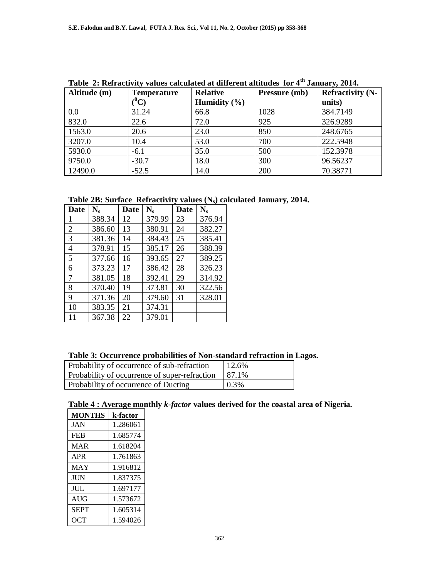| Altitude (m) | <b>Temperature</b><br>$(^0\mathrm{C})$ | <b>Relative</b><br>Humidity $(\% )$ | Table 2. Kellachvity values calculated at unici ent annuuts Tol $\tau$ -bandary, 2017.<br>Pressure (mb) | <b>Refractivity (N-</b><br>units) |
|--------------|----------------------------------------|-------------------------------------|---------------------------------------------------------------------------------------------------------|-----------------------------------|
| 0.0          | 31.24                                  | 66.8                                | 1028                                                                                                    | 384.7149                          |
| 832.0        | 22.6                                   | 72.0                                | 925                                                                                                     | 326.9289                          |
| 1563.0       | 20.6                                   | 23.0                                | 850                                                                                                     | 248.6765                          |
| 3207.0       | 10.4                                   | 53.0                                | 700                                                                                                     | 222.5948                          |
| 5930.0       | $-6.1$                                 | 35.0                                | 500                                                                                                     | 152.3978                          |
| 9750.0       | $-30.7$                                | 18.0                                | 300                                                                                                     | 96.56237                          |
| 12490.0      | $-52.5$                                | 14.0                                | 200                                                                                                     | 70.38771                          |

**Table 2: Refractivity values calculated at different altitudes for 4 th January, 2014.**

**Table 2B: Surface Refractivity values (Ns) calculated January, 2014.**

| <b>Date</b>    | $N_{s}$ | <b>Date</b> | $N_{s}$ | <b>Date</b> | $N_{s}$ |
|----------------|---------|-------------|---------|-------------|---------|
| 1              | 388.34  | 12          | 379.99  | 23          | 376.94  |
| $\overline{2}$ | 386.60  | 13          | 380.91  | 24          | 382.27  |
| 3              | 381.36  | 14          | 384.43  | 25          | 385.41  |
| 4              | 378.91  | 15          | 385.17  | 26          | 388.39  |
| 5              | 377.66  | 16          | 393.65  | 27          | 389.25  |
| 6              | 373.23  | 17          | 386.42  | 28          | 326.23  |
| 7              | 381.05  | 18          | 392.41  | 29          | 314.92  |
| 8              | 370.40  | 19          | 373.81  | 30          | 322.56  |
| 9              | 371.36  | 20          | 379.60  | 31          | 328.01  |
| 10             | 383.35  | 21          | 374.31  |             |         |
| 11             | 367.38  | 22          | 379.01  |             |         |

| Probability of occurrence of sub-refraction           | $12.6\%$ |
|-------------------------------------------------------|----------|
| Probability of occurrence of super-refraction   87.1% |          |
| Probability of occurrence of Ducting                  | 0.3%     |

# **Table 4 : Average monthly** *k-factor* **values derived for the coastal area of Nigeria.**

| <b>MONTHS</b> | k-factor |
|---------------|----------|
| JAN           | 1.286061 |
| <b>FEB</b>    | 1.685774 |
| <b>MAR</b>    | 1.618204 |
| <b>APR</b>    | 1.761863 |
| MAY           | 1.916812 |
| <b>JUN</b>    | 1.837375 |
| ЛΠ.           | 1.697177 |
| AIIG          | 1.573672 |
| <b>SEPT</b>   | 1.605314 |
| OCT           | 1.594026 |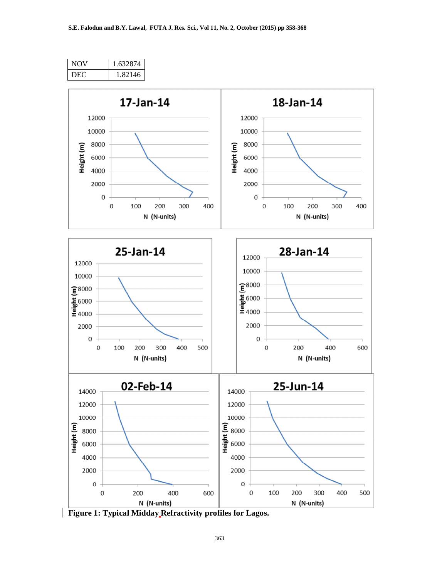

**Figure 1: Typical Midday Refractivity profiles for Lagos.**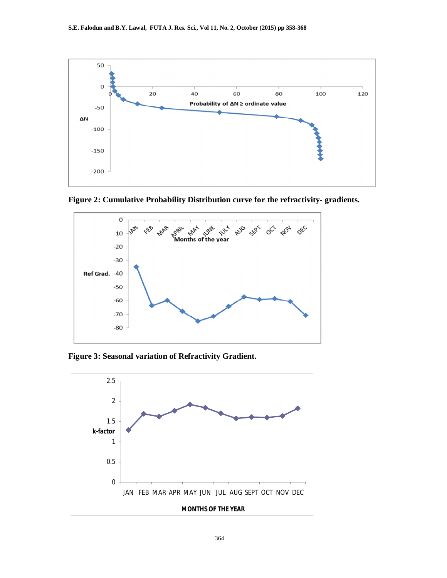

**Figure 2: Cumulative Probability Distribution curve for the refractivity- gradients.**



**Figure 3: Seasonal variation of Refractivity Gradient.**

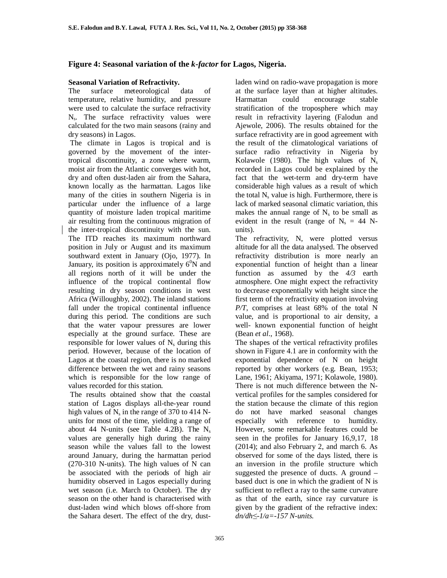## **Figure 4: Seasonal variation of the** *k-factor* **for Lagos, Nigeria.**

### **Seasonal Variation of Refractivity.**

The surface meteorological data of temperature, relative humidity, and pressure were used to calculate the surface refractivity N<sub>s</sub>. The surface refractivity values were calculated for the two main seasons (rainy and dry seasons) in Lagos.

 The climate in Lagos is tropical and is governed by the movement of the intertropical discontinuity, a zone where warm, moist air from the Atlantic converges with hot, dry and often dust-laden air from the Sahara, known locally as the harmattan. Lagos like many of the cities in southern Nigeria is in particular under the influence of a large quantity of moisture laden tropical maritime air resulting from the continuous migration of the inter-tropical discontinuity with the sun. The ITD reaches its maximum northward position in July or August and its maximum southward extent in January (Ojo, 1977). In January, its position is approximately  $6^{\circ}$ N and all regions north of it will be under the influence of the tropical continental flow resulting in dry season conditions in west Africa (Willoughby, 2002). The inland stations fall under the tropical continental influence during this period. The conditions are such that the water vapour pressures are lower especially at the ground surface. These are responsible for lower values of  $N_s$  during this period. However, because of the location of Lagos at the coastal region, there is no marked difference between the wet and rainy seasons which is responsible for the low range of values recorded for this station.

 The results obtained show that the coastal station of Lagos displays all-the-year round high values of  $N_s$  in the range of 370 to 414 Nunits for most of the time, yielding a range of about 44 N-units (see Table 4.2B). The  $N_s$ values are generally high during the rainy season while the values fall to the lowest around January, during the harmattan period (270-310 N-units). The high values of N can be associated with the periods of high air humidity observed in Lagos especially during wet season (i.e. March to October). The dry season on the other hand is characterised with dust-laden wind which blows off-shore from the Sahara desert. The effect of the dry, dustladen wind on radio-wave propagation is more at the surface layer than at higher altitudes. Harmattan could encourage stable stratification of the troposphere which may result in refractivity layering (Falodun and Ajewole, 2006). The results obtained for the surface refractivity are in good agreement with the result of the climatological variations of surface radio refractivity in Nigeria by Kolawole (1980). The high values of  $N_s$ recorded in Lagos could be explained by the fact that the wet-term and dry-term have considerable high values as a result of which the total  $N_s$  value is high. Furthermore, there is lack of marked seasonal climatic variation, this makes the annual range of  $N_s$  to be small as evident in the result (range of  $N_s = 44$  Nunits).

The refractivity, N, were plotted versus altitude for all the data analysed. The observed refractivity distribution is more nearly an exponential function of height than a linear function as assumed by the *4/3* earth atmosphere. One might expect the refractivity to decrease exponentially with height since the first term of the refractivity equation involving *P/T*, comprises at least 68% of the total N value, and is proportional to air density, a well- known exponential function of height (Bean *et al*., 1968).

The shapes of the vertical refractivity profiles shown in Figure 4.1 are in conformity with the exponential dependence of N on height reported by other workers (e.g. Bean, 1953; Lane, 1961; Akiyama, 1971; Kolawole, 1980). There is not much difference between the Nvertical profiles for the samples considered for the station because the climate of this region do not have marked seasonal changes especially with reference to humidity. However, some remarkable features could be seen in the profiles for January 16,9,17, 18 (2014); and also February 2, and march 6. As observed for some of the days listed, there is an inversion in the profile structure which suggested the presence of ducts. A ground – based duct is one in which the gradient of N is sufficient to reflect a ray to the same curvature as that of the earth, since ray curvature is given by the gradient of the refractive index: *dn/dh≤-1/a=-157 N-units.*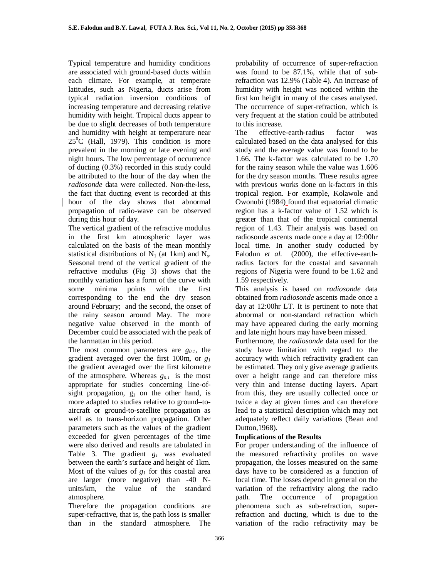Typical temperature and humidity conditions are associated with ground-based ducts within each climate. For example, at temperate latitudes, such as Nigeria, ducts arise from typical radiation inversion conditions of increasing temperature and decreasing relative humidity with height. Tropical ducts appear to be due to slight decreases of both temperature and humidity with height at temperature near  $25^{\circ}$ C (Hall, 1979). This condition is more prevalent in the morning or late evening and night hours. The low percentage of occurrence of ducting (0.3%) recorded in this study could be attributed to the hour of the day when the *radiosonde* data were collected. Non-the-less, the fact that ducting event is recorded at this hour of the day shows that abnormal propagation of radio-wave can be observed during this hour of day.

The vertical gradient of the refractive modulus in the first km atmospheric layer was calculated on the basis of the mean monthly statistical distributions of  $N_1$  (at 1km) and  $N_s$ . Seasonal trend of the vertical gradient of the refractive modulus (Fig 3) shows that the monthly variation has a form of the curve with some minima points with the first corresponding to the end the dry season around February; and the second, the onset of the rainy season around May. The more negative value observed in the month of December could be associated with the peak of the harmattan in this period.

The most common parameters are *g0.1*, the gradient averaged over the first 100m, or *g<sup>1</sup>* the gradient averaged over the first kilometre of the atmosphere. Whereas *g0.1* is the most appropriate for studies concerning line-ofsight propagation,  $g_1$  on the other hand, is more adapted to studies relative to ground–toaircraft or ground-to-satellite propagation as well as to trans-horizon propagation. Other parameters such as the values of the gradient exceeded for given percentages of the time were also derived and results are tabulated in Table 3. The gradient *g1* was evaluated between the earth's surface and height of 1km. Most of the values of  $g<sub>I</sub>$  for this coastal area are larger (more negative) than -40 Nunits/km, the value of the standard atmosphere.

Therefore the propagation conditions are super-refractive, that is, the path loss is smaller than in the standard atmosphere. The

probability of occurrence of super-refraction was found to be 87.1%, while that of subrefraction was 12.9% (Table 4). An increase of humidity with height was noticed within the first km height in many of the cases analysed. The occurrence of super-refraction, which is very frequent at the station could be attributed to this increase.

The effective-earth-radius factor was calculated based on the data analysed for this study and the average value was found to be 1.66. The k-factor was calculated to be 1.70 for the rainy season while the value was 1.606 for the dry season months. These results agree with previous works done on k-factors in this tropical region. For example, Kolawole and Owonubi (1984) found that equatorial climatic region has a k-factor value of 1.52 which is greater than that of the tropical continental region of 1.43. Their analysis was based on radiosonde ascents made once a day at 12:00hr local time. In another study coducted by Falodun *et al.* (2000), the effective-earthradius factors for the coastal and savannah regions of Nigeria were found to be 1.62 and 1.59 respectively.

This analysis is based on *radiosonde* data obtained from *radiosonde* ascents made once a day at 12:00hr LT. It is pertinent to note that abnormal or non-standard refraction which may have appeared during the early morning and late night hours may have been missed.

Furthermore, the *radiosonde* data used for the study have limitation with regard to the accuracy with which refractivity gradient can be estimated. They only give average gradients over a height range and can therefore miss very thin and intense ducting layers. Apart from this, they are usually collected once or twice a day at given times and can therefore lead to a statistical description which may not adequately reflect daily variations (Bean and Dutton,1968).

# **Implications of the Results**

For proper understanding of the influence of the measured refractivity profiles on wave propagation, the losses measured on the same days have to be considered as a function of local time. The losses depend in general on the variation of the refractivity along the radio path. The occurrence of propagation phenomena such as sub-refraction, superrefraction and ducting, which is due to the variation of the radio refractivity may be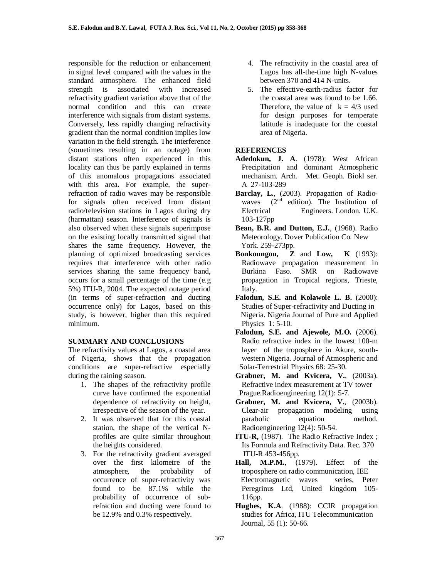responsible for the reduction or enhancement in signal level compared with the values in the standard atmosphere. The enhanced field strength is associated with increased refractivity gradient variation above that of the normal condition and this can create interference with signals from distant systems. Conversely, less rapidly changing refractivity gradient than the normal condition implies low variation in the field strength. The interference (sometimes resulting in an outage) from distant stations often experienced in this locality can thus be partly explained in terms of this anomalous propagations associated with this area. For example, the superrefraction of radio waves may be responsible for signals often received from distant radio/television stations in Lagos during dry (harmattan) season. Interference of signals is also observed when these signals superimpose on the existing locally transmitted signal that shares the same frequency. However, the planning of optimized broadcasting services requires that interference with other radio services sharing the same frequency band, occurs for a small percentage of the time (e.g 5%) ITU-R, 2004. The expected outage period (in terms of super-refraction and ducting occurrence only) for Lagos, based on this study, is however, higher than this required minimum.

### **SUMMARY AND CONCLUSIONS**

The refractivity values at Lagos, a coastal area of Nigeria, shows that the propagation conditions are super-refractive especially during the raining season.

- 1. The shapes of the refractivity profile curve have confirmed the exponential dependence of refractivity on height, irrespective of the season of the year.
- 2. It was observed that for this coastal station, the shape of the vertical Nprofiles are quite similar throughout the heights considered.
- 3. For the refractivity gradient averaged over the first kilometre of the atmosphere, the probability of occurrence of super-refractivity was found to be 87.1% while the probability of occurrence of subrefraction and ducting were found to be 12.9% and 0.3% respectively.
- 4. The refractivity in the coastal area of Lagos has all-the-time high N-values between 370 and 414 N-units.
- 5. The effective-earth-radius factor for the coastal area was found to be 1.66. Therefore, the value of  $k = 4/3$  used for design purposes for temperate latitude is inadequate for the coastal area of Nigeria.

### **REFERENCES**

- **Adedokun, J. A**. (1978): West African Precipitation and dominant Atmospheric mechanism. Arch. Met. Geoph. Biokl ser. A 27-103-289
- **Barclay, L.**, (2003). Propagation of Radiowaves  $(2<sup>nd</sup>$  edition). The Institution of Electrical Engineers. London. U.K. 103-127pp
- **Bean, B.R. and Dutton, E.J.**, (1968). Radio Meteorology. Dover Publication Co. New York. 259-273pp.
- **Bonkoungou, Z** and **Low, K** (1993): Radiowave propagation measurement in Burkina Faso. SMR on Radiowave propagation in Tropical regions, Trieste, Italy.
- **Falodun, S.E. and Kolawole L. B.** (2000): Studies of Super-refractivity and Ducting in Nigeria. Nigeria Journal of Pure and Applied Physics 1: 5-10.
- **Falodun, S.E. and Ajewole, M.O.** (2006). Radio refractive index in the lowest 100-m layer of the troposphere in Akure, southwestern Nigeria. Journal of Atmospheric and Solar-Terrestrial Physics 68: 25-30.
- **Grabner, M. and Kvicera, V.**, (2003a). Refractive index measurement at TV tower Prague.Radioengineering 12(1): 5-7.
- **Grabner, M. and Kvicera, V.**, (2003b). Clear-air propagation modeling using parabolic equation method. Radioengineering 12(4): 50-54.
- **ITU-R,** (1987). The Radio Refractive Index; Its Formula and Refractivity Data. Rec. 370 ITU-R 453-456pp.
- **Hall, M.P.M.**, (1979). Effect of the troposphere on radio communication, IEE Electromagnetic waves series, Peter Peregrinus Ltd, United kingdom 105- 116pp.
- **Hughes, K.A**. (1988): CCIR propagation studies for Africa, ITU Telecommunication Journal, 55 (1): 50-66.